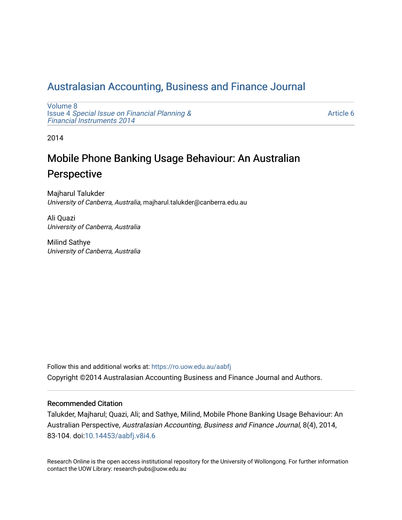## [Australasian Accounting, Business and Finance Journal](https://ro.uow.edu.au/aabfj)

[Volume 8](https://ro.uow.edu.au/aabfj/vol8) Issue 4 [Special Issue on Financial Planning &](https://ro.uow.edu.au/aabfj/vol8/iss4) [Financial Instruments 2014](https://ro.uow.edu.au/aabfj/vol8/iss4) 

[Article 6](https://ro.uow.edu.au/aabfj/vol8/iss4/6) 

2014

# Mobile Phone Banking Usage Behaviour: An Australian Perspective

Majharul Talukder University of Canberra, Australia, majharul.talukder@canberra.edu.au

Ali Quazi University of Canberra, Australia

Milind Sathye University of Canberra, Australia

Follow this and additional works at: [https://ro.uow.edu.au/aabfj](https://ro.uow.edu.au/aabfj?utm_source=ro.uow.edu.au%2Faabfj%2Fvol8%2Fiss4%2F6&utm_medium=PDF&utm_campaign=PDFCoverPages) Copyright ©2014 Australasian Accounting Business and Finance Journal and Authors.

#### Recommended Citation

Talukder, Majharul; Quazi, Ali; and Sathye, Milind, Mobile Phone Banking Usage Behaviour: An Australian Perspective, Australasian Accounting, Business and Finance Journal, 8(4), 2014, 83-104. doi[:10.14453/aabfj.v8i4.6](http://dx.doi.org/10.14453/aabfj.v8i4.6) 

Research Online is the open access institutional repository for the University of Wollongong. For further information contact the UOW Library: research-pubs@uow.edu.au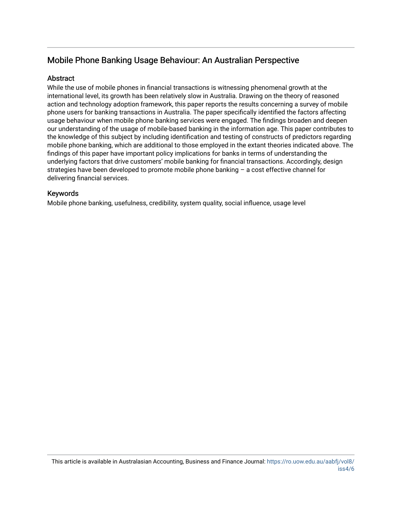### Mobile Phone Banking Usage Behaviour: An Australian Perspective

#### **Abstract**

While the use of mobile phones in financial transactions is witnessing phenomenal growth at the international level, its growth has been relatively slow in Australia. Drawing on the theory of reasoned action and technology adoption framework, this paper reports the results concerning a survey of mobile phone users for banking transactions in Australia. The paper specifically identified the factors affecting usage behaviour when mobile phone banking services were engaged. The findings broaden and deepen our understanding of the usage of mobile-based banking in the information age. This paper contributes to the knowledge of this subject by including identification and testing of constructs of predictors regarding mobile phone banking, which are additional to those employed in the extant theories indicated above. The findings of this paper have important policy implications for banks in terms of understanding the underlying factors that drive customers' mobile banking for financial transactions. Accordingly, design strategies have been developed to promote mobile phone banking – a cost effective channel for delivering financial services.

#### Keywords

Mobile phone banking, usefulness, credibility, system quality, social influence, usage level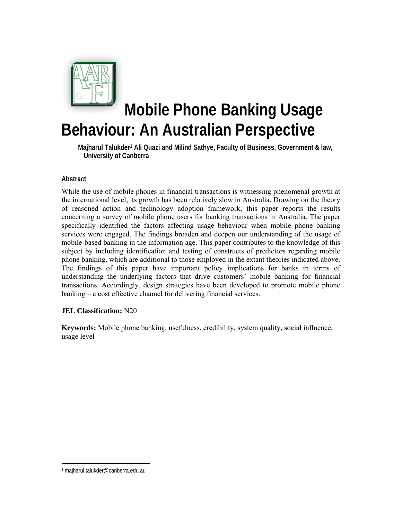

# **Mobile Phone Banking Usage Behaviour: An Australian Perspective**

 **Majharul Talukder1 Ali Quazi and Milind Sathye, Faculty of Business, Government & law, University of Canberra** 

#### **Abstract**

While the use of mobile phones in financial transactions is witnessing phenomenal growth at the international level, its growth has been relatively slow in Australia. Drawing on the theory of reasoned action and technology adoption framework, this paper reports the results concerning a survey of mobile phone users for banking transactions in Australia. The paper specifically identified the factors affecting usage behaviour when mobile phone banking services were engaged. The findings broaden and deepen our understanding of the usage of mobile-based banking in the information age. This paper contributes to the knowledge of this subject by including identification and testing of constructs of predictors regarding mobile phone banking, which are additional to those employed in the extant theories indicated above. The findings of this paper have important policy implications for banks in terms of understanding the underlying factors that drive customers' mobile banking for financial transactions. Accordingly, design strategies have been developed to promote mobile phone banking – a cost effective channel for delivering financial services.

#### **JEL Classification:** N20

**Keywords:** Mobile phone banking, usefulness, credibility, system quality, social influence, usage level

 1 majharul.talukder@canberra.edu.au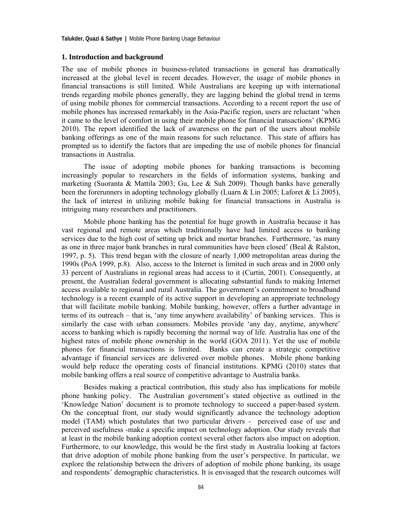#### **1. Introduction and background**

The use of mobile phones in business-related transactions in general has dramatically increased at the global level in recent decades. However, the usage of mobile phones in financial transactions is still limited. While Australians are keeping up with international trends regarding mobile phones generally, they are lagging behind the global trend in terms of using mobile phones for commercial transactions. According to a recent report the use of mobile phones has increased remarkably in the Asia-Pacific region, users are reluctant 'when it came to the level of comfort in using their mobile phone for financial transactions' (KPMG 2010). The report identified the lack of awareness on the part of the users about mobile banking offerings as one of the main reasons for such reluctance. This state of affairs has prompted us to identify the factors that are impeding the use of mobile phones for financial transactions in Australia.

The issue of adopting mobile phones for banking transactions is becoming increasingly popular to researchers in the fields of information systems, banking and marketing (Suoranta & Mattila 2003; Gu, Lee & Suh 2009). Though banks have generally been the forerunners in adopting technology globally (Luarn & Lin 2005; Laforet & Li 2005), the lack of interest in utilizing mobile baking for financial transactions in Australia is intriguing many researchers and practitioners.

Mobile phone banking has the potential for huge growth in Australia because it has vast regional and remote areas which traditionally have had limited access to banking services due to the high cost of setting up brick and mortar branches. Furthermore, 'as many as one in three major bank branches in rural communities have been closed' (Beal & Ralston, 1997, p. 5). This trend began with the closure of nearly 1,000 metropolitan areas during the 1990s (PoA 1999, p.8). Also, access to the Internet is limited in such areas and in 2000 only 33 percent of Australians in regional areas had access to it (Curtin, 2001). Consequently, at present, the Australian federal government is allocating substantial funds to making Internet access available to regional and rural Australia. The government's commitment to broadband technology is a recent example of its active support in developing an appropriate technology that will facilitate mobile banking. Mobile banking, however, offers a further advantage in terms of its outreach – that is, 'any time anywhere availability' of banking services. This is similarly the case with urban consumers. Mobiles provide 'any day, anytime, anywhere' access to banking which is rapidly becoming the normal way of life. Australia has one of the highest rates of mobile phone ownership in the world (GOA 2011). Yet the use of mobile phones for financial transactions is limited. Banks can create a strategic competitive advantage if financial services are delivered over mobile phones. Mobile phone banking would help reduce the operating costs of financial institutions. KPMG (2010) states that mobile banking offers a real source of competitive advantage to Australia banks.

Besides making a practical contribution, this study also has implications for mobile phone banking policy. The Australian government's stated objective as outlined in the 'Knowledge Nation' document is to promote technology to succeed a paper-based system. On the conceptual front, our study would significantly advance the technology adoption model (TAM) which postulates that two particular drivers - perceived ease of use and perceived usefulness -make a specific impact on technology adoption. Our study reveals that at least in the mobile banking adoption context several other factors also impact on adoption. Furthermore, to our knowledge, this would be the first study in Australia looking at factors that drive adoption of mobile phone banking from the user's perspective. In particular, we explore the relationship between the drivers of adoption of mobile phone banking, its usage and respondents' demographic characteristics. It is envisaged that the research outcomes will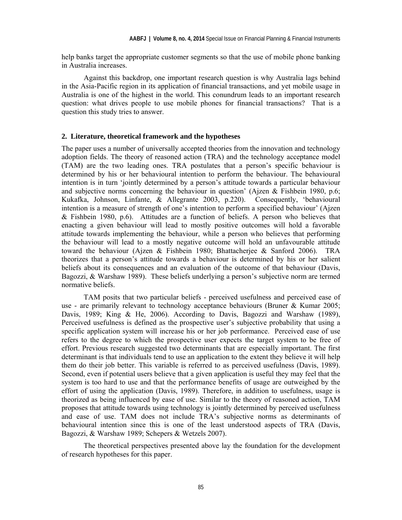help banks target the appropriate customer segments so that the use of mobile phone banking in Australia increases.

Against this backdrop, one important research question is why Australia lags behind in the Asia-Pacific region in its application of financial transactions, and yet mobile usage in Australia is one of the highest in the world. This conundrum leads to an important research question: what drives people to use mobile phones for financial transactions? That is a question this study tries to answer.

#### **2. Literature, theoretical framework and the hypotheses**

The paper uses a number of universally accepted theories from the innovation and technology adoption fields. The theory of reasoned action (TRA) and the technology acceptance model (TAM) are the two leading ones. TRA postulates that a person's specific behaviour is determined by his or her behavioural intention to perform the behaviour. The behavioural intention is in turn 'jointly determined by a person's attitude towards a particular behaviour and subjective norms concerning the behaviour in question' (Ajzen & Fishbein 1980, p.6; Kukafka, Johnson, Linfante, & Allegrante 2003, p.220). Consequently, 'behavioural intention is a measure of strength of one's intention to perform a specified behaviour' (Ajzen & Fishbein 1980, p.6). Attitudes are a function of beliefs. A person who believes that enacting a given behaviour will lead to mostly positive outcomes will hold a favorable attitude towards implementing the behaviour, while a person who believes that performing the behaviour will lead to a mostly negative outcome will hold an unfavourable attitude toward the behaviour (Ajzen & Fishbein 1980; Bhattacherjee & Sanford 2006). TRA theorizes that a person's attitude towards a behaviour is determined by his or her salient beliefs about its consequences and an evaluation of the outcome of that behaviour (Davis, Bagozzi, & Warshaw 1989). These beliefs underlying a person's subjective norm are termed normative beliefs.

TAM posits that two particular beliefs - perceived usefulness and perceived ease of use - are primarily relevant to technology acceptance behaviours (Bruner & Kumar 2005; Davis, 1989; King & He, 2006). According to Davis, Bagozzi and Warshaw (1989), Perceived usefulness is defined as the prospective user's subjective probability that using a specific application system will increase his or her job performance. Perceived ease of use refers to the degree to which the prospective user expects the target system to be free of effort. Previous research suggested two determinants that are especially important. The first determinant is that individuals tend to use an application to the extent they believe it will help them do their job better. This variable is referred to as perceived usefulness (Davis, 1989). Second, even if potential users believe that a given application is useful they may feel that the system is too hard to use and that the performance benefits of usage are outweighed by the effort of using the application (Davis, 1989). Therefore, in addition to usefulness, usage is theorized as being influenced by ease of use. Similar to the theory of reasoned action, TAM proposes that attitude towards using technology is jointly determined by perceived usefulness and ease of use. TAM does not include TRA's subjective norms as determinants of behavioural intention since this is one of the least understood aspects of TRA (Davis, Bagozzi, & Warshaw 1989; Schepers & Wetzels 2007).

The theoretical perspectives presented above lay the foundation for the development of research hypotheses for this paper.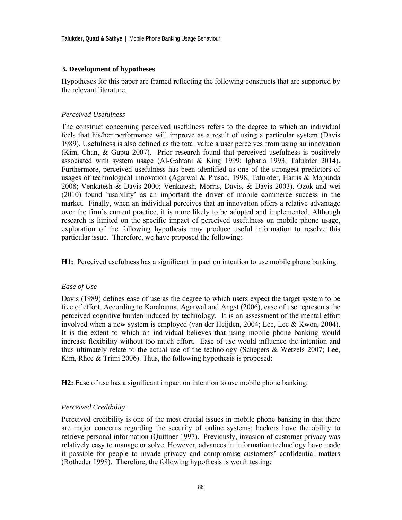#### **3. Development of hypotheses**

Hypotheses for this paper are framed reflecting the following constructs that are supported by the relevant literature.

#### *Perceived Usefulness*

The construct concerning perceived usefulness refers to the degree to which an individual feels that his/her performance will improve as a result of using a particular system (Davis 1989). Usefulness is also defined as the total value a user perceives from using an innovation (Kim, Chan, & Gupta 2007). Prior research found that perceived usefulness is positively associated with system usage (Al-Gahtani & King 1999; Igbaria 1993; Talukder 2014). Furthermore, perceived usefulness has been identified as one of the strongest predictors of usages of technological innovation (Agarwal & Prasad, 1998; Talukder, Harris & Mapunda 2008; Venkatesh & Davis 2000; Venkatesh, Morris, Davis, & Davis 2003). Ozok and wei (2010) found 'usability' as an important the driver of mobile commerce success in the market. Finally, when an individual perceives that an innovation offers a relative advantage over the firm's current practice, it is more likely to be adopted and implemented. Although research is limited on the specific impact of perceived usefulness on mobile phone usage, exploration of the following hypothesis may produce useful information to resolve this particular issue. Therefore, we have proposed the following:

**H1:** Perceived usefulness has a significant impact on intention to use mobile phone banking.

#### *Ease of Use*

Davis (1989) defines ease of use as the degree to which users expect the target system to be free of effort. According to Karahanna, Agarwal and Angst (2006), ease of use represents the perceived cognitive burden induced by technology. It is an assessment of the mental effort involved when a new system is employed (van der Heijden, 2004; Lee, Lee & Kwon, 2004). It is the extent to which an individual believes that using mobile phone banking would increase flexibility without too much effort. Ease of use would influence the intention and thus ultimately relate to the actual use of the technology (Schepers  $\&$  Wetzels 2007; Lee, Kim, Rhee & Trimi 2006). Thus, the following hypothesis is proposed:

**H2:** Ease of use has a significant impact on intention to use mobile phone banking.

#### *Perceived Credibility*

Perceived credibility is one of the most crucial issues in mobile phone banking in that there are major concerns regarding the security of online systems; hackers have the ability to retrieve personal information (Quittner 1997). Previously, invasion of customer privacy was relatively easy to manage or solve. However, advances in information technology have made it possible for people to invade privacy and compromise customers' confidential matters (Rotheder 1998). Therefore, the following hypothesis is worth testing: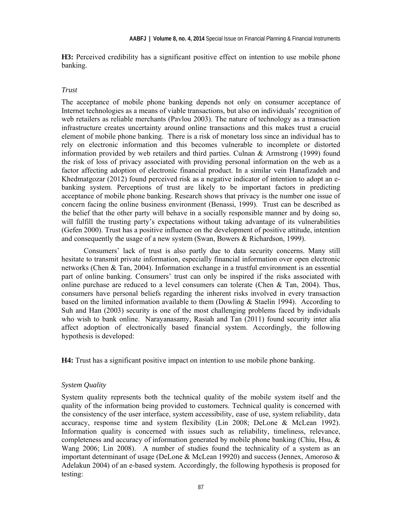**H3:** Perceived credibility has a significant positive effect on intention to use mobile phone banking.

#### *Trust*

The acceptance of mobile phone banking depends not only on consumer acceptance of Internet technologies as a means of viable transactions, but also on individuals' recognition of web retailers as reliable merchants (Pavlou 2003). The nature of technology as a transaction infrastructure creates uncertainty around online transactions and this makes trust a crucial element of mobile phone banking. There is a risk of monetary loss since an individual has to rely on electronic information and this becomes vulnerable to incomplete or distorted information provided by web retailers and third parties. Culnan & Armstrong (1999) found the risk of loss of privacy associated with providing personal information on the web as a factor affecting adoption of electronic financial product. In a similar vein Hanafizadeh and Khedmatgozar (2012) found perceived risk as a negative indicator of intention to adopt an ebanking system. Perceptions of trust are likely to be important factors in predicting acceptance of mobile phone banking. Research shows that privacy is the number one issue of concern facing the online business environment (Benassi, 1999). Trust can be described as the belief that the other party will behave in a socially responsible manner and by doing so, will fulfill the trusting party's expectations without taking advantage of its vulnerabilities (Gefen 2000). Trust has a positive influence on the development of positive attitude, intention and consequently the usage of a new system (Swan, Bowers & Richardson, 1999).

Consumers' lack of trust is also partly due to data security concerns. Many still hesitate to transmit private information, especially financial information over open electronic networks (Chen & Tan, 2004). Information exchange in a trustful environment is an essential part of online banking. Consumers' trust can only be inspired if the risks associated with online purchase are reduced to a level consumers can tolerate (Chen  $\&$  Tan, 2004). Thus, consumers have personal beliefs regarding the inherent risks involved in every transaction based on the limited information available to them (Dowling & Staelin 1994). According to Suh and Han (2003) security is one of the most challenging problems faced by individuals who wish to bank online. Narayanasamy, Rasiah and Tan (2011) found security inter alia affect adoption of electronically based financial system. Accordingly, the following hypothesis is developed:

**H4:** Trust has a significant positive impact on intention to use mobile phone banking.

#### *System Quality*

System quality represents both the technical quality of the mobile system itself and the quality of the information being provided to customers. Technical quality is concerned with the consistency of the user interface, system accessibility, ease of use, system reliability, data accuracy, response time and system flexibility (Lin 2008; DeLone & McLean 1992). Information quality is concerned with issues such as reliability, timeliness, relevance, completeness and accuracy of information generated by mobile phone banking (Chiu, Hsu,  $\&$ Wang 2006; Lin 2008). A number of studies found the technicality of a system as an important determinant of usage (DeLone & McLean 19920) and success (Jennex, Amoroso & Adelakun 2004) of an e-based system. Accordingly, the following hypothesis is proposed for testing: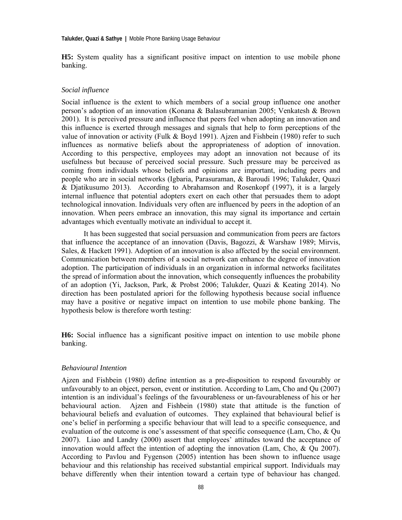**H5:** System quality has a significant positive impact on intention to use mobile phone banking.

#### *Social influence*

Social influence is the extent to which members of a social group influence one another person's adoption of an innovation (Konana & Balasubramanian 2005; Venkatesh & Brown 2001). It is perceived pressure and influence that peers feel when adopting an innovation and this influence is exerted through messages and signals that help to form perceptions of the value of innovation or activity (Fulk & Boyd 1991). Ajzen and Fishbein (1980) refer to such influences as normative beliefs about the appropriateness of adoption of innovation. According to this perspective, employees may adopt an innovation not because of its usefulness but because of perceived social pressure. Such pressure may be perceived as coming from individuals whose beliefs and opinions are important, including peers and people who are in social networks (Igbaria, Parasuraman, & Baroudi 1996; Talukder, Quazi & Djatikusumo 2013). According to Abrahamson and Rosenkopf (1997), it is a largely internal influence that potential adopters exert on each other that persuades them to adopt technological innovation. Individuals very often are influenced by peers in the adoption of an innovation. When peers embrace an innovation, this may signal its importance and certain advantages which eventually motivate an individual to accept it.

It has been suggested that social persuasion and communication from peers are factors that influence the acceptance of an innovation (Davis, Bagozzi, & Warshaw 1989; Mirvis, Sales, & Hackett 1991). Adoption of an innovation is also affected by the social environment. Communication between members of a social network can enhance the degree of innovation adoption. The participation of individuals in an organization in informal networks facilitates the spread of information about the innovation, which consequently influences the probability of an adoption (Yi, Jackson, Park, & Probst 2006; Talukder, Quazi & Keating 2014). No direction has been postulated apriori for the following hypothesis because social influence may have a positive or negative impact on intention to use mobile phone banking. The hypothesis below is therefore worth testing:

**H6:** Social influence has a significant positive impact on intention to use mobile phone banking.

#### *Behavioural Intention*

Ajzen and Fishbein (1980) define intention as a pre-disposition to respond favourably or unfavourably to an object, person, event or institution. According to Lam, Cho and Qu (2007) intention is an individual's feelings of the favourableness or un-favourableness of his or her behavioural action. Ajzen and Fishbein (1980) state that attitude is the function of behavioural beliefs and evaluation of outcomes. They explained that behavioural belief is one's belief in performing a specific behaviour that will lead to a specific consequence, and evaluation of the outcome is one's assessment of that specific consequence (Lam, Cho, & Qu 2007). Liao and Landry (2000) assert that employees' attitudes toward the acceptance of innovation would affect the intention of adopting the innovation (Lam, Cho, & Qu 2007). According to Pavlou and Fygenson (2005) intention has been shown to influence usage behaviour and this relationship has received substantial empirical support. Individuals may behave differently when their intention toward a certain type of behaviour has changed.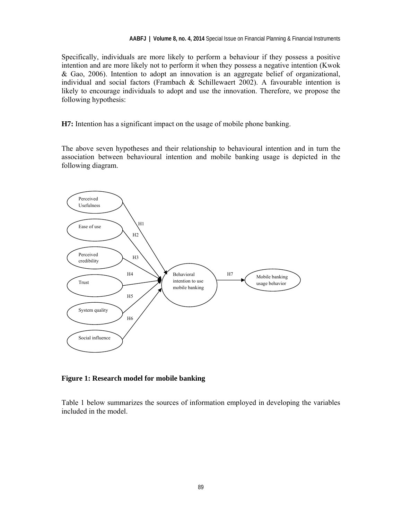Specifically, individuals are more likely to perform a behaviour if they possess a positive intention and are more likely not to perform it when they possess a negative intention (Kwok & Gao, 2006). Intention to adopt an innovation is an aggregate belief of organizational, individual and social factors (Frambach & Schillewaert 2002). A favourable intention is likely to encourage individuals to adopt and use the innovation. Therefore, we propose the following hypothesis:

**H7:** Intention has a significant impact on the usage of mobile phone banking.

The above seven hypotheses and their relationship to behavioural intention and in turn the association between behavioural intention and mobile banking usage is depicted in the following diagram.



#### **Figure 1: Research model for mobile banking**

Table 1 below summarizes the sources of information employed in developing the variables included in the model.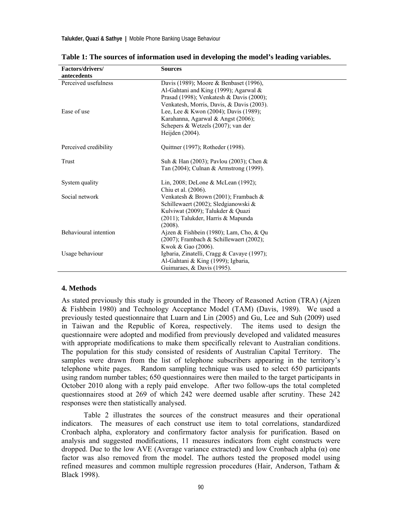| <b>Factors/drivers/</b> | <b>Sources</b>                             |
|-------------------------|--------------------------------------------|
| antecedents             |                                            |
| Perceived usefulness    | Davis (1989); Moore & Benbaset (1996),     |
|                         | Al-Gahtani and King (1999); Agarwal &      |
|                         | Prasad (1998); Venkatesh & Davis (2000);   |
|                         | Venkatesh, Morris, Davis, & Davis (2003).  |
| Ease of use             | Lee, Lee & Kwon (2004); Davis (1989);      |
|                         | Karahanna, Agarwal & Angst (2006);         |
|                         | Schepers & Wetzels (2007); van der         |
|                         | Heijden $(2004)$ .                         |
| Perceived credibility   | Quittner (1997); Rotheder (1998).          |
| Trust                   | Suh & Han (2003); Pavlou (2003); Chen &    |
|                         | Tan (2004); Culnan & Armstrong (1999).     |
| System quality          | Lin, 2008; DeLone & McLean (1992);         |
|                         | Chiu et al. (2006).                        |
| Social network          | Venkatesh & Brown (2001); Frambach &       |
|                         | Schillewaert (2002); Sledgianowski &       |
|                         | Kulviwat (2009); Talukder & Quazi          |
|                         | (2011); Talukder, Harris & Mapunda         |
|                         | (2008).                                    |
| Behavioural intention   | Ajzen & Fishbein (1980); Lam, Cho, & Qu    |
|                         | (2007); Frambach & Schillewaert (2002);    |
|                         | Kwok & Gao (2006).                         |
| Usage behaviour         | Igbaria, Zinatelli, Cragg & Cavaye (1997); |
|                         | Al-Gahtani & King (1999); Igbaria,         |
|                         | Guimaraes, & Davis (1995).                 |

**Table 1: The sources of information used in developing the model's leading variables.** 

#### **4. Methods**

As stated previously this study is grounded in the Theory of Reasoned Action (TRA) (Ajzen & Fishbein 1980) and Technology Acceptance Model (TAM) (Davis, 1989). We used a previously tested questionnaire that Luarn and Lin (2005) and Gu, Lee and Suh (2009) used in Taiwan and the Republic of Korea, respectively. The items used to design the questionnaire were adopted and modified from previously developed and validated measures with appropriate modifications to make them specifically relevant to Australian conditions. The population for this study consisted of residents of Australian Capital Territory. The samples were drawn from the list of telephone subscribers appearing in the territory's telephone white pages. Random sampling technique was used to select 650 participants using random number tables; 650 questionnaires were then mailed to the target participants in October 2010 along with a reply paid envelope. After two follow-ups the total completed questionnaires stood at 269 of which 242 were deemed usable after scrutiny. These 242 responses were then statistically analysed.

Table 2 illustrates the sources of the construct measures and their operational indicators. The measures of each construct use item to total correlations, standardized Cronbach alpha, exploratory and confirmatory factor analysis for purification. Based on analysis and suggested modifications, 11 measures indicators from eight constructs were dropped. Due to the low AVE (Average variance extracted) and low Cronbach alpha (α) one factor was also removed from the model. The authors tested the proposed model using refined measures and common multiple regression procedures (Hair, Anderson, Tatham & Black 1998).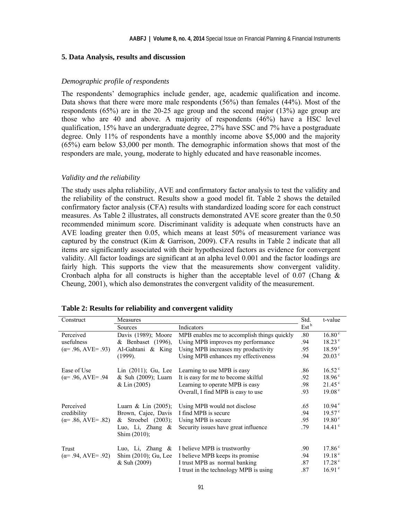#### **5. Data Analysis, results and discussion**

#### *Demographic profile of respondents*

The respondents' demographics include gender, age, academic qualification and income. Data shows that there were more male respondents (56%) than females (44%). Most of the respondents (65%) are in the 20-25 age group and the second major (13%) age group are those who are 40 and above. A majority of respondents (46%) have a HSC level qualification, 15% have an undergraduate degree, 27% have SSC and 7% have a postgraduate degree. Only 11% of respondents have a monthly income above \$5,000 and the majority (65%) earn below \$3,000 per month. The demographic information shows that most of the responders are male, young, moderate to highly educated and have reasonable incomes.

#### *Validity and the reliability*

The study uses alpha reliability, AVE and confirmatory factor analysis to test the validity and the reliability of the construct. Results show a good model fit. Table 2 shows the detailed confirmatory factor analysis (CFA) results with standardized loading score for each construct measures. As Table 2 illustrates, all constructs demonstrated AVE score greater than the 0.50 recommended minimum score. Discriminant validity is adequate when constructs have an AVE loading greater then 0.05, which means at least 50% of measurement variance was captured by the construct (Kim & Garrison, 2009). CFA results in Table 2 indicate that all items are significantly associated with their hypothesized factors as evidence for convergent validity. All factor loadings are significant at an alpha level 0.001 and the factor loadings are fairly high. This supports the view that the measurements show convergent validity. Cronbach alpha for all constructs is higher than the acceptable level of 0.07 (Chang  $\&$ Cheung, 2001), which also demonstrates the convergent validity of the measurement.

| Construct                   | Measures                               |                                             | Std.             | t-value            |
|-----------------------------|----------------------------------------|---------------------------------------------|------------------|--------------------|
|                             | Sources                                | Indicators                                  | Est <sup>b</sup> |                    |
| Perceived                   | Davis (1989); Moore                    | MPB enables me to accomplish things quickly | .80              | $16.80^\circ$      |
| usefulness                  | & Benbaset (1996),                     | Using MPB improves my performance           | .94              | $18.23^{\circ}$    |
| $(\alpha = .96, AVE = .93)$ | Al-Gahtani & King                      | Using MPB increases my productivity         | .95              | 18.59 <sup>c</sup> |
|                             | $(1999)$ .                             | Using MPB enhances my effectiveness         | .94              | $20.03^{\circ}$    |
| Ease of Use                 | Lin $(2011)$ ; Gu, Lee                 | Learning to use MPB is easy                 | .86              | $16.52^{\circ}$    |
| $(\alpha = .96, AVE = .94)$ | & Suh (2009); Luarn                    | It is easy for me to become skilful         | .92              | $18.96^{\circ}$    |
|                             | $& \text{Lin}(2005)$                   | Learning to operate MPB is easy             | .98              | $21.45^{\circ}$    |
|                             |                                        | Overall, I find MPB is easy to use          | .93              | 19.08 <sup>c</sup> |
| Perceived                   | Luarn & Lin $(2005)$ ;                 | Using MPB would not disclose                | .65              | $10.94^{\circ}$    |
| credibility                 | Brown, Cajee, Davis                    | I find MPB is secure                        | .94              | $19.57^{\circ}$    |
| $(\alpha = .86, AVE = .82)$ | & Stroebel (2003);                     | Using MPB is secure                         | .95              | $19.80^{\circ}$    |
|                             | Luo, Li, Zhang $\&$<br>Shim $(2010)$ ; | Security issues have great influence        | .79              | $14.41^{\circ}$    |
| Trust                       | Luo, Li, Zhang $\&$                    | I believe MPB is trustworthy                | .90              | $17.86^{\circ}$    |
| $(\alpha = .94, AVE = .92)$ | Shim (2010); Gu, Lee                   | I believe MPB keeps its promise             | .94              | 19.18 <sup>c</sup> |
|                             | $&$ Suh (2009)                         | I trust MPB as normal banking               | .87              | 17.28 <sup>c</sup> |
|                             |                                        | I trust in the technology MPB is using      | .87              | 16.91 <sup>c</sup> |

**Table 2: Results for reliability and convergent validity**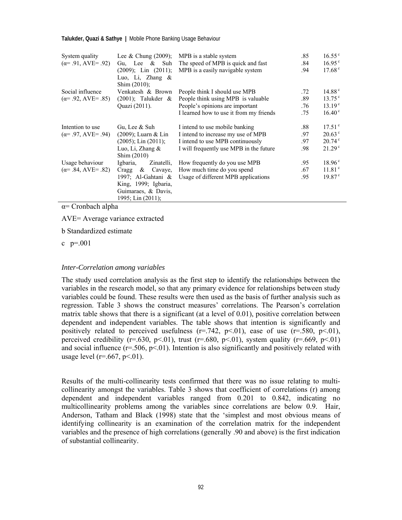| System quality<br>$(\alpha = .91, AVE = .92)$ | Lee & Chung $(2009)$ ;<br>Gu, Lee & Suh                                                   | MPB is a stable system<br>The speed of MPB is quick and fast | .85<br>.84 | $16.55^{\circ}$<br>$16.95^{\circ}$ |
|-----------------------------------------------|-------------------------------------------------------------------------------------------|--------------------------------------------------------------|------------|------------------------------------|
|                                               | $(2009)$ ; Lin $(2011)$ ;<br>Luo, Li, Zhang &<br>Shim $(2010)$ ;                          | MPB is a easily navigable system                             | .94        | $17.68^{\circ}$                    |
| Social influence                              | Venkatesh & Brown                                                                         | People think I should use MPB                                | .72        | 14.88 <sup>c</sup>                 |
| $(\alpha = .92, \text{AVE} = .85)$            | $(2001)$ ; Talukder &                                                                     | People think using MPB is valuable                           | .89        | $13.75^{\circ}$                    |
|                                               | Quazi (2011).                                                                             | People's opinions are important                              | .76        | 13.19 <sup>c</sup>                 |
|                                               |                                                                                           | I learned how to use it from my friends                      | .75        | $16.40^{\circ}$                    |
| Intention to use                              | Gu, Lee & Suh                                                                             | I intend to use mobile banking                               | .88        | 17.51 <sup>c</sup>                 |
| $(\alpha = .97, AVE = .94)$                   | $(2009)$ ; Luarn & Lin                                                                    | I intend to increase my use of MPB                           | .97        | $20.63^{\circ}$                    |
|                                               | $(2005)$ ; Lin $(2011)$ ;                                                                 | I intend to use MPB continuously                             | .97        | $20.74^{\circ}$                    |
|                                               | Luo, Li, Zhang $\&$<br>Shim (2010)                                                        | I will frequently use MPB in the future                      | .98        | 21.29 <sup>c</sup>                 |
| Usage behaviour                               | Igbaria,<br>Zinatelli,                                                                    | How frequently do you use MPB                                | .95        | $18.96^{\circ}$                    |
| $(\alpha = .84, AVE = .82)$                   | Crage & Cavave                                                                            | How much time do you spend                                   | .67        | 11.81 <sup>c</sup>                 |
|                                               | 1997; Al-Gahtani &<br>King, 1999; Igbaria,<br>Guimaraes, & Davis,<br>1995; Lin $(2011)$ ; | Usage of different MPB applications                          | .95        | $19.87^{\circ}$                    |

α= Cronbach alpha

AVE= Average variance extracted

b Standardized estimate

c  $p=.001$ 

#### *Inter-Correlation among variables*

The study used correlation analysis as the first step to identify the relationships between the variables in the research model, so that any primary evidence for relationships between study variables could be found. These results were then used as the basis of further analysis such as regression. Table 3 shows the construct measures' correlations. The Pearson's correlation matrix table shows that there is a significant (at a level of 0.01), positive correlation between dependent and independent variables. The table shows that intention is significantly and positively related to perceived usefulness  $(r=.742, p<.01)$ , ease of use  $(r=.580, p<.01)$ , perceived credibility ( $r=.630$ ,  $p<.01$ ), trust ( $r=.680$ ,  $p<.01$ ), system quality ( $r=.669$ ,  $p<.01$ ) and social influence  $(r=.506, p<.01)$ . Intention is also significantly and positively related with usage level ( $r = .667$ ,  $p < .01$ ).

Results of the multi-collinearity tests confirmed that there was no issue relating to multicollinearity amongst the variables. Table 3 shows that coefficient of correlations (r) among dependent and independent variables ranged from 0.201 to 0.842, indicating no multicollinearity problems among the variables since correlations are below 0.9. Hair, Anderson, Tatham and Black (1998) state that the 'simplest and most obvious means of identifying collinearity is an examination of the correlation matrix for the independent variables and the presence of high correlations (generally .90 and above) is the first indication of substantial collinearity.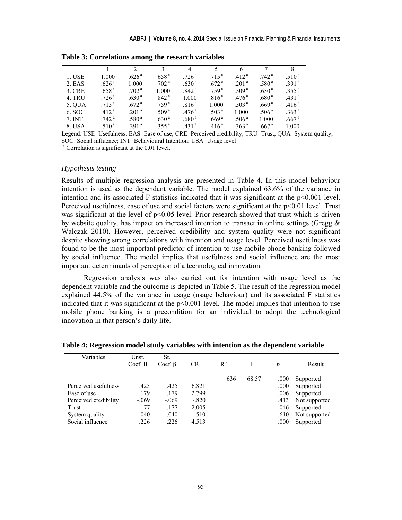|        |                   |                   |                   | 4                 |                   | 6                 |                   | 8                 |
|--------|-------------------|-------------------|-------------------|-------------------|-------------------|-------------------|-------------------|-------------------|
| 1. USE | 1.000             | .626 <sup>a</sup> | .658 <sup>a</sup> | .726 <sup>a</sup> | .715 <sup>a</sup> | .412 <sup>a</sup> | .742 <sup>a</sup> | .510 <sup>a</sup> |
| 2. EAS | .626 <sup>a</sup> | 1.000             | .702 <sup>a</sup> | .630 <sup>a</sup> | .672 <sup>a</sup> | .201 <sup>a</sup> | .580 <sup>a</sup> | .391 <sup>a</sup> |
| 3. CRE | .658 <sup>a</sup> | .702 <sup>a</sup> | 1.000             | .842 <sup>a</sup> | .759 <sup>a</sup> | .509 <sup>a</sup> | .630 <sup>a</sup> | .355 <sup>a</sup> |
| 4. TRU | .726 <sup>a</sup> | .630 <sup>a</sup> | .842 <sup>a</sup> | 1.000             | .816 <sup>a</sup> | .476 <sup>a</sup> | .680 <sup>a</sup> | .431 <sup>a</sup> |
| 5. OUA | .715 <sup>a</sup> | .672 <sup>a</sup> | .759 <sup>a</sup> | .816 <sup>a</sup> | 1.000             | .503 <sup>a</sup> | .669 <sup>a</sup> | .416 <sup>a</sup> |
| 6. SOC | .412 <sup>a</sup> | .201 <sup>a</sup> | .509 <sup>a</sup> | .476 <sup>a</sup> | .503 <sup>a</sup> | 1.000             | .506 <sup>a</sup> | .363 <sup>a</sup> |
| 7. INT | .742 <sup>a</sup> | .580ª             | .630 <sup>a</sup> | .680 <sup>a</sup> | .669 <sup>a</sup> | .506 <sup>a</sup> | 1.000             | .667 <sup>a</sup> |
| 8. USA | .510 <sup>a</sup> | .391 <sup>a</sup> | .355 <sup>a</sup> | .431 <sup>a</sup> | .416 <sup>a</sup> | .363 <sup>a</sup> | .667 <sup>a</sup> | 1.000             |

**Table 3: Correlations among the research variables** 

Legend: USE=Usefulness; EAS=Ease of use; CRE=Perceived credibility; TRU=Trust; QUA=System quality; SOC=Social influence; INT=Behavioural Intention; USA=Usage level

a Correlation is significant at the 0.01 level.

#### *Hypothesis testing*

Results of multiple regression analysis are presented in Table 4. In this model behaviour intention is used as the dependant variable. The model explained 63.6% of the variance in intention and its associated F statistics indicated that it was significant at the p<0.001 level. Perceived usefulness, ease of use and social factors were significant at the p<0.01 level. Trust was significant at the level of  $p<0.05$  level. Prior research showed that trust which is driven by website quality, has impact on increased intention to transact in online settings (Gregg  $\&$ Walczak 2010). However, perceived credibility and system quality were not significant despite showing strong correlations with intention and usage level. Perceived usefulness was found to be the most important predictor of intention to use mobile phone banking followed by social influence. The model implies that usefulness and social influence are the most important determinants of perception of a technological innovation.

Regression analysis was also carried out for intention with usage level as the dependent variable and the outcome is depicted in Table 5. The result of the regression model explained 44.5% of the variance in usage (usage behaviour) and its associated F statistics indicated that it was significant at the  $p<0.001$  level. The model implies that intention to use mobile phone banking is a precondition for an individual to adopt the technological innovation in that person's daily life.

| Variables             | Unst.<br>Coef. B | St.<br>Coef. $\beta$ | <b>CR</b> | $R^2$ | F     | p    | Result        |
|-----------------------|------------------|----------------------|-----------|-------|-------|------|---------------|
|                       |                  |                      |           | .636  | 68.57 | .000 | Supported     |
| Perceived usefulness  | .425             | .425                 | 6.821     |       |       | .000 | Supported     |
| Ease of use           | .179             | .179                 | 2.799     |       |       | .006 | Supported     |
| Perceived credibility | $-.069$          | $-.069$              | $-.820$   |       |       | .413 | Not supported |
| Trust                 | .177             | .177                 | 2.005     |       |       | .046 | Supported     |
| System quality        | .040             | .040                 | .510      |       |       | .610 | Not supported |
| Social influence      | .226             | .226                 | 4.513     |       |       | .000 | Supported     |

**Table 4: Regression model study variables with intention as the dependent variable**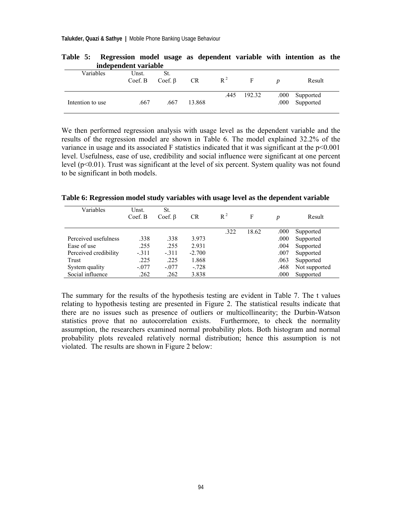|                  | muchendem variable |                      |           |       |        |                                  |
|------------------|--------------------|----------------------|-----------|-------|--------|----------------------------------|
| Variables        | Unst.<br>Coef. B   | St.<br>Coef. $\beta$ | <b>CR</b> | $R^2$ | F      | Result                           |
| Intention to use | .667               | .667                 | 13.868    | .445  | 192.32 | .000 Supported<br>.000 Supported |

**Table 5: Regression model usage as dependent variable with intention as the independent variable** 

We then performed regression analysis with usage level as the dependent variable and the results of the regression model are shown in Table 6. The model explained 32.2% of the variance in usage and its associated F statistics indicated that it was significant at the  $p<0.001$ level. Usefulness, ease of use, credibility and social influence were significant at one percent level (p<0.01). Trust was significant at the level of six percent. System quality was not found to be significant in both models.

**Table 6: Regression model study variables with usage level as the dependent variable** 

| Variables             | Unst.<br>Coef. B | St.<br>Coef. $\beta$ | CR       | $R^2$ | F     | p    | Result        |
|-----------------------|------------------|----------------------|----------|-------|-------|------|---------------|
|                       |                  |                      |          | .322  | 18.62 | .000 | Supported     |
| Perceived usefulness  | .338             | .338                 | 3.973    |       |       | .000 | Supported     |
| Ease of use           | .255             | .255                 | 2.931    |       |       | .004 | Supported     |
| Perceived credibility | $-.311$          | $-311$               | $-2.700$ |       |       | .007 | Supported     |
| Trust                 | .225             | .225                 | 1.868    |       |       | .063 | Supported     |
| System quality        | $-.077$          | $-.077$              | $-.728$  |       |       | .468 | Not supported |
| Social influence      | .262             | .262                 | 3.838    |       |       | .000 | Supported     |

The summary for the results of the hypothesis testing are evident in Table 7. The t values relating to hypothesis testing are presented in Figure 2. The statistical results indicate that there are no issues such as presence of outliers or multicollinearity; the Durbin-Watson statistics prove that no autocorrelation exists. Furthermore, to check the normality assumption, the researchers examined normal probability plots. Both histogram and normal probability plots revealed relatively normal distribution; hence this assumption is not violated. The results are shown in Figure 2 below: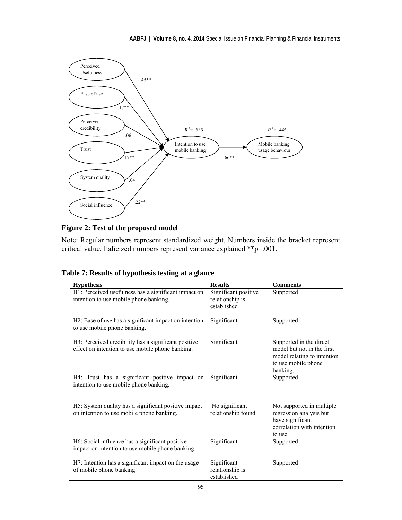

**Figure 2: Test of the proposed model** 

Note: Regular numbers represent standardized weight. Numbers inside the bracket represent critical value. Italicized numbers represent variance explained \*\*p=.001.

| <b>Hypothesis</b>                                                                                        | <b>Results</b>                                         | <b>Comments</b>                                                                                                   |
|----------------------------------------------------------------------------------------------------------|--------------------------------------------------------|-------------------------------------------------------------------------------------------------------------------|
| H1: Perceived usefulness has a significant impact on<br>intention to use mobile phone banking.           | Significant positive<br>relationship is<br>established | Supported                                                                                                         |
| H2: Ease of use has a significant impact on intention<br>to use mobile phone banking.                    | Significant                                            | Supported                                                                                                         |
| H3: Perceived credibility has a significant positive<br>effect on intention to use mobile phone banking. | Significant                                            | Supported in the direct<br>model but not in the first<br>model relating to intention<br>to use mobile phone       |
| H4: Trust has a significant positive impact on<br>intention to use mobile phone banking.                 | Significant                                            | banking.<br>Supported                                                                                             |
| H5: System quality has a significant positive impact<br>on intention to use mobile phone banking.        | No significant<br>relationship found                   | Not supported in multiple<br>regression analysis but<br>have significant<br>correlation with intention<br>to use. |
| H6: Social influence has a significant positive<br>impact on intention to use mobile phone banking.      | Significant                                            | Supported                                                                                                         |
| H7: Intention has a significant impact on the usage<br>of mobile phone banking.                          | Significant<br>relationship is<br>established          | Supported                                                                                                         |

|  |  | Table 7: Results of hypothesis testing at a glance |
|--|--|----------------------------------------------------|
|--|--|----------------------------------------------------|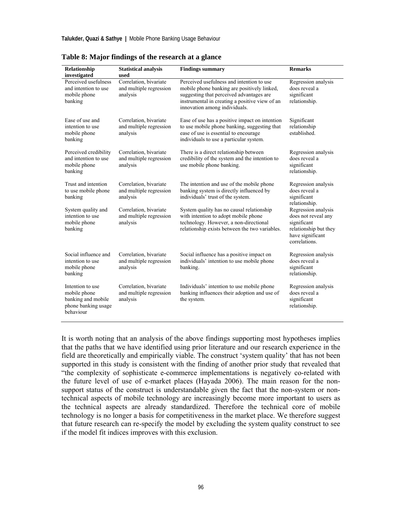| Relationship<br>investigated                                                               | <b>Statistical analysis</b><br>used                           | <b>Findings summary</b>                                                                                                                                                                                                 | <b>Remarks</b>                                                                                                          |
|--------------------------------------------------------------------------------------------|---------------------------------------------------------------|-------------------------------------------------------------------------------------------------------------------------------------------------------------------------------------------------------------------------|-------------------------------------------------------------------------------------------------------------------------|
| Perceived usefulness<br>and intention to use<br>mobile phone<br>banking                    | Correlation, bivariate<br>and multiple regression<br>analysis | Perceived usefulness and intention to use<br>mobile phone banking are positively linked,<br>suggesting that perceived advantages are<br>instrumental in creating a positive view of an<br>innovation among individuals. | Regression analysis<br>does reveal a<br>significant<br>relationship.                                                    |
| Ease of use and<br>intention to use<br>mobile phone<br>banking                             | Correlation, bivariate<br>and multiple regression<br>analysis | Ease of use has a positive impact on intention<br>to use mobile phone banking, suggesting that<br>ease of use is essential to encourage<br>individuals to use a particular system.                                      | Significant<br>relationship<br>established.                                                                             |
| Perceived credibility<br>and intention to use<br>mobile phone<br>banking                   | Correlation, bivariate<br>and multiple regression<br>analysis | There is a direct relationship between<br>credibility of the system and the intention to<br>use mobile phone banking.                                                                                                   | Regression analysis<br>does reveal a<br>significant<br>relationship.                                                    |
| Trust and intention<br>to use mobile phone<br>banking                                      | Correlation, bivariate<br>and multiple regression<br>analysis | The intention and use of the mobile phone<br>banking system is directly influenced by<br>individuals' trust of the system.                                                                                              | Regression analysis<br>does reveal a<br>significant<br>relationship.                                                    |
| System quality and<br>intention to use<br>mobile phone<br>banking                          | Correlation, bivariate<br>and multiple regression<br>analysis | System quality has no causal relationship<br>with intention to adopt mobile phone<br>technology. However, a non-directional<br>relationship exists between the two variables.                                           | Regression analysis<br>does not reveal any<br>significant<br>relationship but they<br>have significant<br>correlations. |
| Social influence and<br>intention to use<br>mobile phone<br>banking                        | Correlation, bivariate<br>and multiple regression<br>analysis | Social influence has a positive impact on<br>individuals' intention to use mobile phone<br>banking.                                                                                                                     | Regression analysis<br>does reveal a<br>significant<br>relationship.                                                    |
| Intention to use<br>mobile phone<br>banking and mobile<br>phone banking usage<br>behaviour | Correlation, bivariate<br>and multiple regression<br>analysis | Individuals' intention to use mobile phone<br>banking influences their adoption and use of<br>the system.                                                                                                               | Regression analysis<br>does reveal a<br>significant<br>relationship.                                                    |

**Table 8: Major findings of the research at a glance** 

It is worth noting that an analysis of the above findings supporting most hypotheses implies that the paths that we have identified using prior literature and our research experience in the field are theoretically and empirically viable. The construct 'system quality' that has not been supported in this study is consistent with the finding of another prior study that revealed that "the complexity of sophisticate e-commerce implementations is negatively co-related with the future level of use of e-market places (Hayada 2006). The main reason for the nonsupport status of the construct is understandable given the fact that the non-system or nontechnical aspects of mobile technology are increasingly become more important to users as the technical aspects are already standardized. Therefore the technical core of mobile technology is no longer a basis for competitiveness in the market place. We therefore suggest that future research can re-specify the model by excluding the system quality construct to see if the model fit indices improves with this exclusion.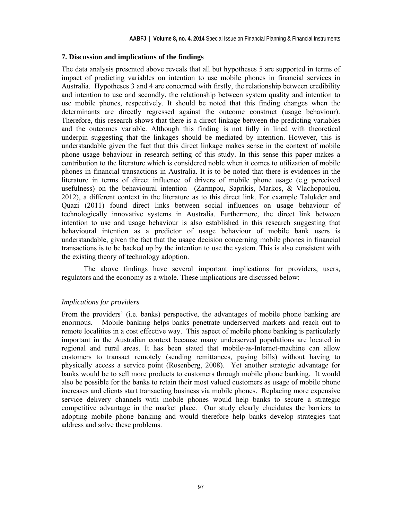#### **7. Discussion and implications of the findings**

The data analysis presented above reveals that all but hypotheses 5 are supported in terms of impact of predicting variables on intention to use mobile phones in financial services in Australia. Hypotheses 3 and 4 are concerned with firstly, the relationship between credibility and intention to use and secondly, the relationship between system quality and intention to use mobile phones, respectively. It should be noted that this finding changes when the determinants are directly regressed against the outcome construct (usage behaviour). Therefore, this research shows that there is a direct linkage between the predicting variables and the outcomes variable. Although this finding is not fully in lined with theoretical underpin suggesting that the linkages should be mediated by intention. However, this is understandable given the fact that this direct linkage makes sense in the context of mobile phone usage behaviour in research setting of this study. In this sense this paper makes a contribution to the literature which is considered noble when it comes to utilization of mobile phones in financial transactions in Australia. It is to be noted that there is evidences in the literature in terms of direct influence of drivers of mobile phone usage (e.g perceived usefulness) on the behavioural intention (Zarmpou, Saprikis, Markos, & Vlachopoulou, 2012), a different context in the literature as to this direct link. For example Talukder and Quazi (2011) found direct links between social influences on usage behaviour of technologically innovative systems in Australia. Furthermore, the direct link between intention to use and usage behaviour is also established in this research suggesting that behavioural intention as a predictor of usage behaviour of mobile bank users is understandable, given the fact that the usage decision concerning mobile phones in financial transactions is to be backed up by the intention to use the system. This is also consistent with the existing theory of technology adoption.

The above findings have several important implications for providers, users, regulators and the economy as a whole. These implications are discussed below:

#### *Implications for providers*

From the providers' (i.e. banks) perspective, the advantages of mobile phone banking are enormous. Mobile banking helps banks penetrate underserved markets and reach out to remote localities in a cost effective way. This aspect of mobile phone banking is particularly important in the Australian context because many underserved populations are located in regional and rural areas. It has been stated that mobile-as-Internet-machine can allow customers to transact remotely (sending remittances, paying bills) without having to physically access a service point (Rosenberg, 2008). Yet another strategic advantage for banks would be to sell more products to customers through mobile phone banking. It would also be possible for the banks to retain their most valued customers as usage of mobile phone increases and clients start transacting business via mobile phones. Replacing more expensive service delivery channels with mobile phones would help banks to secure a strategic competitive advantage in the market place. Our study clearly elucidates the barriers to adopting mobile phone banking and would therefore help banks develop strategies that address and solve these problems.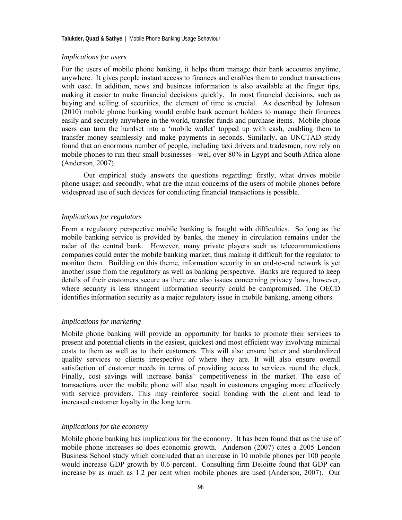#### *Implications for users*

For the users of mobile phone banking, it helps them manage their bank accounts anytime, anywhere. It gives people instant access to finances and enables them to conduct transactions with ease. In addition, news and business information is also available at the finger tips, making it easier to make financial decisions quickly. In most financial decisions, such as buying and selling of securities, the element of time is crucial. As described by Johnson (2010) mobile phone banking would enable bank account holders to manage their finances easily and securely anywhere in the world, transfer funds and purchase items. Mobile phone users can turn the handset into a 'mobile wallet' topped up with cash, enabling them to transfer money seamlessly and make payments in seconds. Similarly, an UNCTAD study found that an enormous number of people, including taxi drivers and tradesmen, now rely on mobile phones to run their small businesses - well over 80% in Egypt and South Africa alone (Anderson, 2007).

Our empirical study answers the questions regarding: firstly, what drives mobile phone usage; and secondly, what are the main concerns of the users of mobile phones before widespread use of such devices for conducting financial transactions is possible.

#### *Implications for regulators*

From a regulatory perspective mobile banking is fraught with difficulties. So long as the mobile banking service is provided by banks, the money in circulation remains under the radar of the central bank. However, many private players such as telecommunications companies could enter the mobile banking market, thus making it difficult for the regulator to monitor them. Building on this theme, information security in an end-to-end network is yet another issue from the regulatory as well as banking perspective. Banks are required to keep details of their customers secure as there are also issues concerning privacy laws, however, where security is less stringent information security could be compromised. The OECD identifies information security as a major regulatory issue in mobile banking, among others.

#### *Implications for marketing*

Mobile phone banking will provide an opportunity for banks to promote their services to present and potential clients in the easiest, quickest and most efficient way involving minimal costs to them as well as to their customers. This will also ensure better and standardized quality services to clients irrespective of where they are. It will also ensure overall satisfaction of customer needs in terms of providing access to services round the clock. Finally, cost savings will increase banks' competitiveness in the market. The ease of transactions over the mobile phone will also result in customers engaging more effectively with service providers. This may reinforce social bonding with the client and lead to increased customer loyalty in the long term.

#### *Implications for the economy*

Mobile phone banking has implications for the economy. It has been found that as the use of mobile phone increases so does economic growth. Anderson (2007) cites a 2005 London Business School study which concluded that an increase in 10 mobile phones per 100 people would increase GDP growth by 0.6 percent. Consulting firm Deloitte found that GDP can increase by as much as 1.2 per cent when mobile phones are used (Anderson, 2007). Our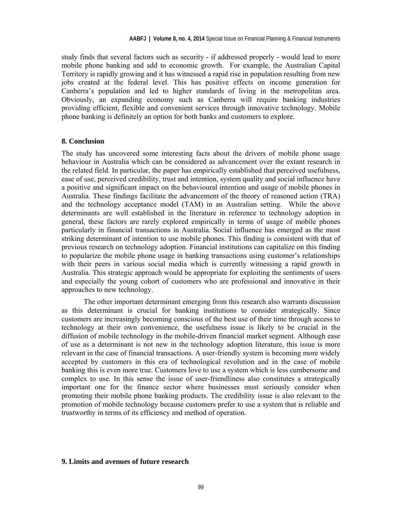study finds that several factors such as security - if addressed properly - would lead to more mobile phone banking and add to economic growth. For example, the Australian Capital Territory is rapidly growing and it has witnessed a rapid rise in population resulting from new jobs created at the federal level. This has positive effects on income generation for Canberra's population and led to higher standards of living in the metropolitan area. Obviously, an expanding economy such as Canberra will require banking industries providing efficient, flexible and convenient services through innovative technology. Mobile phone banking is definitely an option for both banks and customers to explore.

#### **8. Conclusion**

The study has uncovered some interesting facts about the drivers of mobile phone usage behaviour in Australia which can be considered as advancement over the extant research in the related field. In particular, the paper has empirically established that perceived usefulness, ease of use, perceived credibility, trust and intention, system quality and social influence have a positive and significant impact on the behavioural intention and usage of mobile phones in Australia. These findings facilitate the advancement of the theory of reasoned action (TRA) and the technology acceptance model (TAM) in an Australian setting. While the above determinants are well established in the literature in reference to technology adoption in general, these factors are rarely explored empirically in terms of usage of mobile phones particularly in financial transactions in Australia. Social influence has emerged as the most striking determinant of intention to use mobile phones. This finding is consistent with that of previous research on technology adoption. Financial institutions can capitalize on this finding to popularize the mobile phone usage in banking transactions using customer's relationships with their peers in various social media which is currently witnessing a rapid growth in Australia. This strategic approach would be appropriate for exploiting the sentiments of users and especially the young cohort of customers who are professional and innovative in their approaches to new technology.

The other important determinant emerging from this research also warrants discussion as this determinant is crucial for banking institutions to consider strategically. Since customers are increasingly becoming conscious of the best use of their time through access to technology at their own convenience, the usefulness issue is likely to be crucial in the diffusion of mobile technology in the mobile-driven financial market segment. Although ease of use as a determinant is not new in the technology adoption literature, this issue is more relevant in the case of financial transactions. A user-friendly system is becoming more widely accepted by customers in this era of technological revolution and in the case of mobile banking this is even more true. Customers love to use a system which is less cumbersome and complex to use. In this sense the issue of user-friendliness also constitutes a strategically important one for the finance sector where businesses must seriously consider when promoting their mobile phone banking products. The credibility issue is also relevant to the promotion of mobile technology because customers prefer to use a system that is reliable and trustworthy in terms of its efficiency and method of operation.

#### **9. Limits and avenues of future research**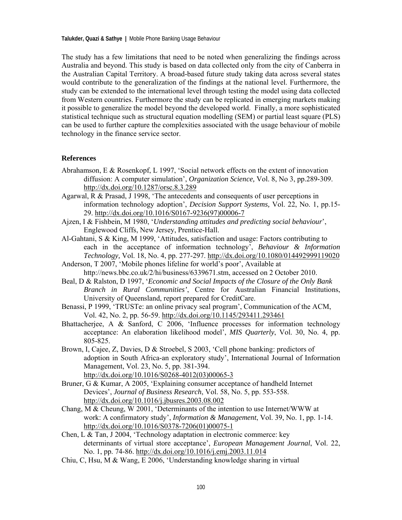The study has a few limitations that need to be noted when generalizing the findings across Australia and beyond. This study is based on data collected only from the city of Canberra in the Australian Capital Territory. A broad-based future study taking data across several states would contribute to the generalization of the findings at the national level. Furthermore, the study can be extended to the international level through testing the model using data collected from Western countries. Furthermore the study can be replicated in emerging markets making it possible to generalize the model beyond the developed world. Finally, a more sophisticated statistical technique such as structural equation modelling (SEM) or partial least square (PLS) can be used to further capture the complexities associated with the usage behaviour of mobile technology in the finance service sector.

#### **References**

- Abrahamson, E & Rosenkopf, L 1997, 'Social network effects on the extent of innovation diffusion: A computer simulation', *Organization Science,* Vol. 8, No 3, pp.289-309. http://dx.doi.org/10.1287/orsc.8.3.289
- Agarwal, R & Prasad, J 1998, 'The antecedents and consequents of user perceptions in information technology adoption', *Decision Support Systems,* Vol. 22, No. 1, pp.15- 29. http://dx.doi.org/10.1016/S0167-9236(97)00006-7
- Ajzen, I & Fishbein, M 1980, '*Understanding attitudes and predicting social behaviour*', Englewood Cliffs, New Jersey, Prentice-Hall.
- Al-Gahtani, S & King, M 1999, 'Attitudes, satisfaction and usage: Factors contributing to each in the acceptance of information technology', *Behaviour & Information Technology,* Vol. 18, No. 4, pp. 277-297. http://dx.doi.org/10.1080/014492999119020
- Anderson, T 2007, 'Mobile phones lifeline for world's poor', Available at http://news.bbc.co.uk/2/hi/business/6339671.stm, accessed on 2 October 2010.
- Beal, D & Ralston, D 1997, '*Economic and Social Impacts of the Closure of the Only Bank Branch in Rural Communities'*, Centre for Australian Financial Institutions, University of Queensland, report prepared for CreditCare.
- Benassi, P 1999, 'TRUSTe: an online privacy seal program', Communication of the ACM, Vol. 42, No. 2, pp. 56-59. http://dx.doi.org/10.1145/293411.293461
- Bhattacherjee, A & Sanford, C 2006, 'Influence processes for information technology acceptance: An elaboration likelihood model', *MIS Quarterly*, Vol. 30, No. 4, pp. 805-825.
- Brown, I, Cajee, Z, Davies, D & Stroebel, S 2003, 'Cell phone banking: predictors of adoption in South Africa-an exploratory study', International Journal of Information Management, Vol. 23, No. 5, pp. 381-394. http://dx.doi.org/10.1016/S0268-4012(03)00065-3
- Bruner, G & Kumar, A 2005, 'Explaining consumer acceptance of handheld Internet Devices', *Journal of Business Research*, Vol. 58, No. 5, pp. 553-558. http://dx.doi.org/10.1016/j.jbusres.2003.08.002
- Chang, M & Cheung, W 2001, 'Determinants of the intention to use Internet/WWW at work: A confirmatory study', *Information & Management*, Vol. 39, No. 1, pp. 1-14. http://dx.doi.org/10.1016/S0378-7206(01)00075-1
- Chen, L & Tan, J 2004, 'Technology adaptation in electronic commerce: key determinants of virtual store acceptance', *European Management Journal*, Vol. 22, No. 1, pp. 74-86. http://dx.doi.org/10.1016/j.emj.2003.11.014
- Chiu, C, Hsu, M & Wang, E 2006, 'Understanding knowledge sharing in virtual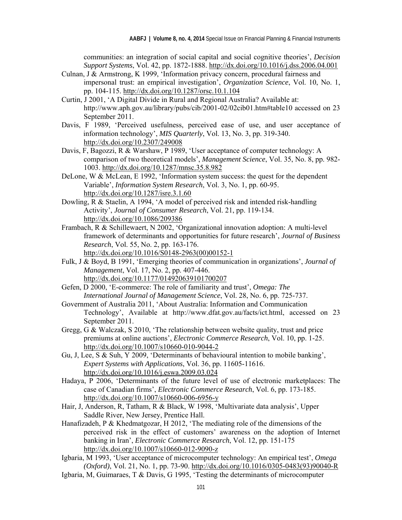communities: an integration of social capital and social cognitive theories', *Decision Support Systems*, Vol. 42, pp. 1872-1888. http://dx.doi.org/10.1016/j.dss.2006.04.001

- Culnan, J & Armstrong, K 1999, 'Information privacy concern, procedural fairness and impersonal trust: an empirical investigation', *Organization Science*, Vol. 10, No. 1, pp. 104-115. http://dx.doi.org/10.1287/orsc.10.1.104
- Curtin, J 2001, 'A Digital Divide in Rural and Regional Australia? Available at: http://www.aph.gov.au/library/pubs/cib/2001-02/02cib01.htm#table10 accessed on 23 September 2011.
- Davis, F 1989, 'Perceived usefulness, perceived ease of use, and user acceptance of information technology', *MIS Quarterly*, Vol. 13, No. 3, pp. 319-340. http://dx.doi.org/10.2307/249008
- Davis, F, Bagozzi, R & Warshaw, P 1989, 'User acceptance of computer technology: A comparison of two theoretical models', *Management Science*, Vol. 35, No. 8, pp. 982- 1003. http://dx.doi.org/10.1287/mnsc.35.8.982
- DeLone, W & McLean, E 1992, 'Information system success: the quest for the dependent Variable', *Information System Research*, Vol. 3, No. 1, pp. 60-95. http://dx.doi.org/10.1287/isre.3.1.60
- Dowling, R & Staelin, A 1994, 'A model of perceived risk and intended risk-handling Activity', *Journal of Consumer Research*, Vol. 21, pp. 119-134. http://dx.doi.org/10.1086/209386
- Frambach, R & Schillewaert, N 2002, 'Organizational innovation adoption: A multi-level framework of determinants and opportunities for future research', *Journal of Business Research*, Vol. 55, No. 2, pp. 163-176. http://dx.doi.org/10.1016/S0148-2963(00)00152-1
- Fulk, J & Boyd, B 1991, 'Emerging theories of communication in organizations', *Journal of Management*, Vol. 17, No. 2, pp. 407-446. http://dx.doi.org/10.1177/014920639101700207
- Gefen, D 2000, 'E-commerce: The role of familiarity and trust', *Omega: The International Journal of Management Science*, Vol. 28, No. 6, pp. 725-737.
- Government of Australia 2011, 'About Australia: Information and Communication Technology', Available at http://www.dfat.gov.au/facts/ict.html, accessed on 23 September 2011.
- Gregg, G & Walczak, S 2010, 'The relationship between website quality, trust and price premiums at online auctions', *Electronic Commerce Research*, Vol. 10, pp. 1-25. http://dx.doi.org/10.1007/s10660-010-9044-2
- Gu, J, Lee, S & Suh, Y 2009, 'Determinants of behavioural intention to mobile banking', *Expert Systems with Applications*, Vol. 36, pp. 11605-11616. http://dx.doi.org/10.1016/j.eswa.2009.03.024
- Hadaya, P 2006, 'Determinants of the future level of use of electronic marketplaces: The case of Canadian firms', *Electronic Commerce Research*, Vol. 6, pp. 173-185. http://dx.doi.org/10.1007/s10660-006-6956-y
- Hair, J, Anderson, R, Tatham, R & Black, W 1998, 'Multivariate data analysis', Upper Saddle River, New Jersey, Prentice Hall.
- Hanafizadeh, P & Khedmatgozar, H 2012, 'The mediating role of the dimensions of the perceived risk in the effect of customers' awareness on the adoption of Internet banking in Iran', *Electronic Commerce Research*, Vol. 12, pp. 151-175 http://dx.doi.org/10.1007/s10660-012-9090-z
- Igbaria, M 1993, 'User acceptance of microcomputer technology: An empirical test', *Omega (Oxford)*, Vol. 21, No. 1, pp. 73-90. http://dx.doi.org/10.1016/0305-0483(93)90040-R
- Igbaria, M, Guimaraes, T & Davis, G 1995, 'Testing the determinants of microcomputer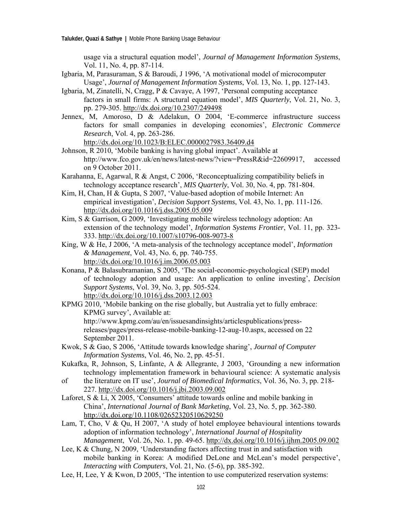usage via a structural equation model', *Journal of Management Information Systems*, Vol. 11, No. 4, pp. 87-114.

- Igbaria, M, Parasuraman, S & Baroudi, J 1996, 'A motivational model of microcomputer Usage', *Journal of Management Information Systems*, Vol. 13, No. 1, pp. 127-143.
- Igbaria, M, Zinatelli, N, Cragg, P & Cavaye, A 1997, 'Personal computing acceptance factors in small firms: A structural equation model', *MIS Quarterly*, Vol. 21, No. 3, pp. 279-305. http://dx.doi.org/10.2307/249498
- Jennex, M, Amoroso, D & Adelakun, O 2004, 'E-commerce infrastructure success factors for small companies in developing economies', *Electronic Commerce Research*, Vol. 4, pp. 263-286. http://dx.doi.org/10.1023/B:ELEC.0000027983.36409.d4
- Johnson, R 2010, 'Mobile banking is having global impact'. Available at http://www.fco.gov.uk/en/news/latest-news/?view=PressR&id=22609917, accessed on 9 October 2011.
- Karahanna, E, Agarwal, R & Angst, C 2006, 'Reconceptualizing compatibility beliefs in technology acceptance research', *MIS Quarterly*, Vol. 30, No. 4, pp. 781-804.
- Kim, H, Chan, H & Gupta, S 2007, 'Value-based adoption of mobile Internet: An empirical investigation', *Decision Support Systems*, Vol. 43, No. 1, pp. 111-126. http://dx.doi.org/10.1016/j.dss.2005.05.009
- Kim, S & Garrison, G 2009, 'Investigating mobile wireless technology adoption: An extension of the technology model', *Information Systems Frontier*, Vol. 11, pp. 323- 333. http://dx.doi.org/10.1007/s10796-008-9073-8
- King, W & He, J 2006, 'A meta-analysis of the technology acceptance model', *Information & Management*, Vol. 43, No. 6, pp. 740-755. http://dx.doi.org/10.1016/j.im.2006.05.003
- Konana, P & Balasubramanian, S 2005, 'The social-economic-psychological (SEP) model of technology adoption and usage: An application to online investing', *Decision Support Systems*, Vol. 39, No. 3, pp. 505-524. http://dx.doi.org/10.1016/j.dss.2003.12.003
- KPMG 2010, 'Mobile banking on the rise globally, but Australia yet to fully embrace: KPMG survey', Available at: http://www.kpmg.com/au/en/issuesandinsights/articlespublications/press releases/pages/press-release-mobile-banking-12-aug-10.aspx, accessed on 22 September 2011.
- Kwok, S & Gao, S 2006, 'Attitude towards knowledge sharing', *Journal of Computer Information Systems*, Vol. 46, No. 2, pp. 45-51.
- Kukafka, R, Johnson, S, Linfante, A & Allegrante, J 2003, 'Grounding a new information technology implementation framework in behavioural science: A systematic analysis
- of the literature on IT use', *Journal of Biomedical Informatics*, Vol. 36, No. 3, pp. 218- 227. http://dx.doi.org/10.1016/j.jbi.2003.09.002
- Laforet, S & Li, X 2005, 'Consumers' attitude towards online and mobile banking in China', *International Journal of Bank Marketing*, Vol. 23, No. 5, pp. 362-380. http://dx.doi.org/10.1108/02652320510629250
- Lam, T, Cho, V & Qu, H 2007, 'A study of hotel employee behavioural intentions towards adoption of information technology', *International Journal of Hospitality Management*, Vol. 26, No. 1, pp. 49-65. http://dx.doi.org/10.1016/j.ijhm.2005.09.002
- Lee, K & Chung, N 2009, 'Understanding factors affecting trust in and satisfaction with mobile banking in Korea: A modified DeLone and McLean's model perspective', *Interacting with Computers*, Vol. 21, No. (5-6), pp. 385-392.
- Lee, H, Lee, Y & Kwon, D 2005, 'The intention to use computerized reservation systems: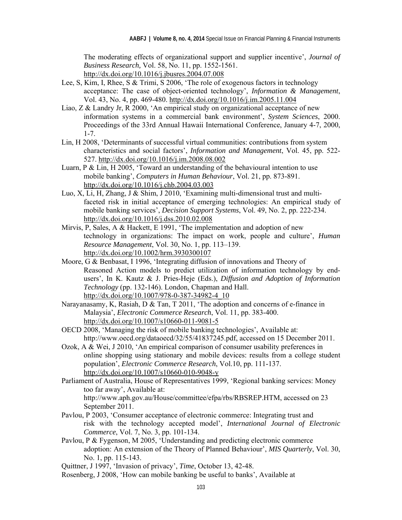The moderating effects of organizational support and supplier incentive', *Journal of Business Research,* Vol. 58, No. 11, pp. 1552-1561. http://dx.doi.org/10.1016/j.jbusres.2004.07.008

- Lee, S, Kim, I, Rhee, S & Trimi, S 2006, 'The role of exogenous factors in technology acceptance: The case of object-oriented technology', *Information & Management*, Vol. 43, No. 4, pp. 469-480. http://dx.doi.org/10.1016/j.im.2005.11.004
- Liao, Z & Landry Jr, R 2000, 'An empirical study on organizational acceptance of new information systems in a commercial bank environment', *System Sciences*, 2000. Proceedings of the 33rd Annual Hawaii International Conference, January 4-7, 2000, 1-7.
- Lin, H 2008, 'Determinants of successful virtual communities: contributions from system characteristics and social factors', *Information and Management*, Vol. 45, pp. 522- 527. http://dx.doi.org/10.1016/j.im.2008.08.002
- Luarn, P & Lin, H 2005, 'Toward an understanding of the behavioural intention to use mobile banking', *Computers in Human Behaviour*, Vol. 21, pp. 873-891. http://dx.doi.org/10.1016/j.chb.2004.03.003
- Luo, X, Li, H, Zhang, J & Shim, J 2010, 'Examining multi-dimensional trust and multi faceted risk in initial acceptance of emerging technologies: An empirical study of mobile banking services', *Decision Support Systems*, Vol. 49, No. 2, pp. 222-234. http://dx.doi.org/10.1016/j.dss.2010.02.008
- Mirvis, P, Sales, A & Hackett, E 1991, 'The implementation and adoption of new technology in organizations: The impact on work, people and culture', *Human Resource Management*, Vol. 30, No. 1, pp. 113–139. http://dx.doi.org/10.1002/hrm.3930300107
- Moore, G & Benbasat, I 1996, 'Integrating diffusion of innovations and Theory of Reasoned Action models to predict utilization of information technology by end users', In K. Kautz & J. Pries-Heje (Eds.), *Diffusion and Adoption of Information Technology* (pp. 132-146). London, Chapman and Hall. http://dx.doi.org/10.1007/978-0-387-34982-4\_10
- Narayanasamy, K, Rasiah, D & Tan, T 2011, 'The adoption and concerns of e-finance in Malaysia', *Electronic Commerce Research*, Vol. 11, pp. 383-400. http://dx.doi.org/10.1007/s10660-011-9081-5
- OECD 2008, 'Managing the risk of mobile banking technologies', Available at: http://www.oecd.org/dataoecd/32/55/41837245.pdf, accessed on 15 December 2011.
- Ozok, A & Wei, J 2010, 'An empirical comparison of consumer usability preferences in online shopping using stationary and mobile devices: results from a college student population', *Electronic Commerce Research*, Vol.10, pp. 111-137. http://dx.doi.org/10.1007/s10660-010-9048-y
- Parliament of Australia, House of Representatives 1999, 'Regional banking services: Money too far away', Available at: http://www.aph.gov.au/House/committee/efpa/rbs/RBSREP.HTM, accessed on 23 September 2011.
- Pavlou, P 2003, 'Consumer acceptance of electronic commerce: Integrating trust and risk with the technology accepted model', *International Journal of Electronic Commerce*, Vol. 7, No. 3, pp. 101-134.
- Pavlou, P & Fygenson, M 2005, 'Understanding and predicting electronic commerce adoption: An extension of the Theory of Planned Behaviour', *MIS Quarterly*, Vol. 30, No. 1, pp. 115-143.

Rosenberg, J 2008, 'How can mobile banking be useful to banks', Available at

Quittner, J 1997, 'Invasion of privacy', *Time*, October 13, 42-48.